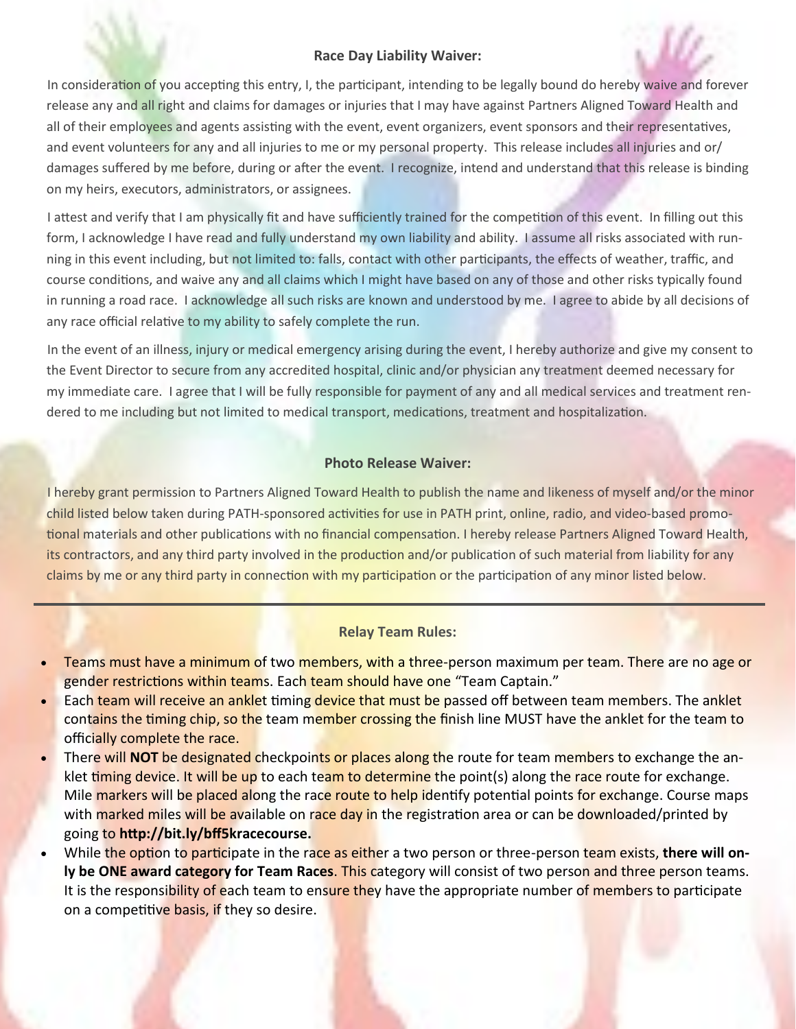## **Race Day Liability Waiver:**

In consideration of you accepting this entry, I, the participant, intending to be legally bound do hereby waive and forever release any and all right and claims for damages or injuries that I may have against Partners Aligned Toward Health and all of their employees and agents assisting with the event, event organizers, event sponsors and their representatives, and event volunteers for any and all injuries to me or my personal property. This release includes all injuries and or/ damages suffered by me before, during or after the event. I recognize, intend and understand that this release is binding on my heirs, executors, administrators, or assignees.

I attest and verify that I am physically fit and have sufficiently trained for the competition of this event. In filling out this form, I acknowledge I have read and fully understand my own liability and ability. I assume all risks associated with running in this event including, but not limited to: falls, contact with other participants, the effects of weather, traffic, and course conditions, and waive any and all claims which I might have based on any of those and other risks typically found in running a road race. I acknowledge all such risks are known and understood by me. I agree to abide by all decisions of any race official relative to my ability to safely complete the run.

In the event of an illness, injury or medical emergency arising during the event, I hereby authorize and give my consent to the Event Director to secure from any accredited hospital, clinic and/or physician any treatment deemed necessary for my immediate care. I agree that I will be fully responsible for payment of any and all medical services and treatment rendered to me including but not limited to medical transport, medications, treatment and hospitalization.

## **Photo Release Waiver:**

I hereby grant permission to Partners Aligned Toward Health to publish the name and likeness of myself and/or the minor child listed below taken during PATH-sponsored activities for use in PATH print, online, radio, and video-based promotional materials and other publications with no financial compensation. I hereby release Partners Aligned Toward Health, its contractors, and any third party involved in the production and/or publication of such material from liability for any claims by me or any third party in connection with my participation or the participation of any minor listed below.

## **Relay Team Rules:**

- Teams must have a minimum of two members, with a three-person maximum per team. There are no age or gender restrictions within teams. Each team should have one "Team Captain."
- Each team will receive an anklet timing device that must be passed off between team members. The anklet contains the timing chip, so the team member crossing the finish line MUST have the anklet for the team to officially complete the race.
- There will **NOT** be designated checkpoints or places along the route for team members to exchange the anklet timing device. It will be up to each team to determine the point(s) along the race route for exchange. Mile markers will be placed along the race route to help identify potential points for exchange. Course maps with marked miles will be available on race day in the registration area or can be downloaded/printed by going to **http://bit.ly/bff5kracecourse.**
- While the option to participate in the race as either a two person or three-person team exists, **there will only be ONE award category for Team Races**. This category will consist of two person and three person teams. It is the responsibility of each team to ensure they have the appropriate number of members to participate on a competitive basis, if they so desire.